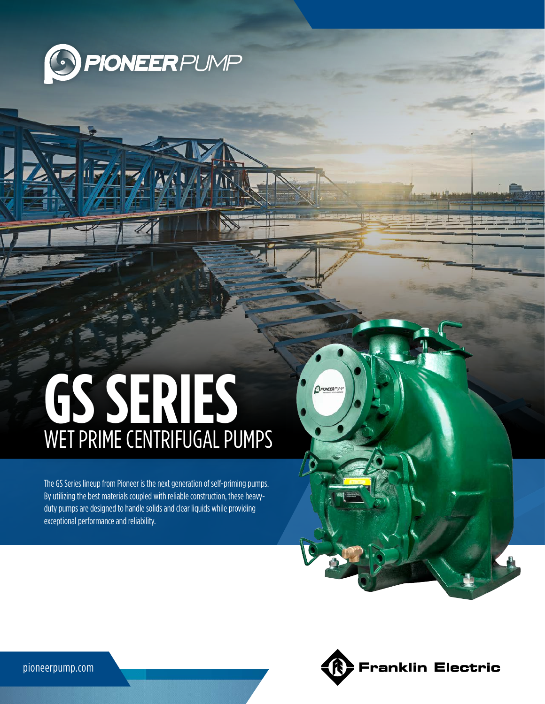

# **GS SERIES** WET PRIME CENTRIFUGAL PUMPS

The GS Series lineup from Pioneer is the next generation of self-priming pumps. By utilizing the best materials coupled with reliable construction, these heavyduty pumps are designed to handle solids and clear liquids while providing exceptional performance and reliability.



OPIONEERPLAF

pioneerpump.com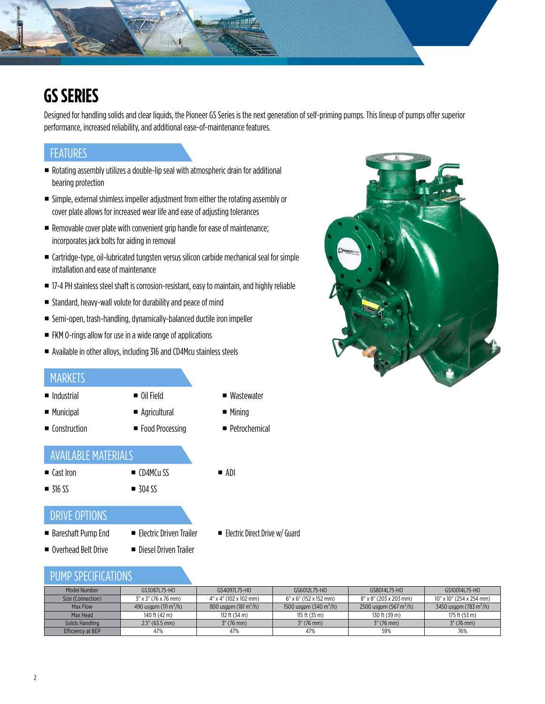# **GS SERIES**

Designed for handling solids and clear liquids, the Pioneer GS Series is the next generation of self-priming pumps. This lineup of pumps offer superior performance, increased reliability, and additional ease-of-maintenance features.

## **FEATURES**

 Rotating assembly utilizes a double-lip seal with atmospheric drain for additional bearing protection

W

- Simple, external shimless impeller adjustment from either the rotating assembly or cover plate allows for increased wear life and ease of adjusting tolerances
- Removable cover plate with convenient grip handle for ease of maintenance; incorporates jack bolts for aiding in removal
- Cartridge-type, oil-lubricated tungsten versus silicon carbide mechanical seal for simple installation and ease of maintenance
- 17-4 PH stainless steel shaft is corrosion-resistant, easy to maintain, and highly reliable
- Standard, heavy-wall volute for durability and peace of mind
- Semi-open, trash-handling, dynamically-balanced ductile iron impeller
- FKM 0-rings allow for use in a wide range of applications
- Available in other alloys, including 316 and CD4Mcu stainless steels

#### MARKETS

- **Industrial**
- **Municipal**
- Agricultural

■ Oil Field

- Construction
- **Food Processing**
- **Wastewater**
- Mining

ADI

**Petrochemical** 

### AVAILABLE MATERIALS

- 
- **316 SS**

■ Cast Iron

■ CD4MCu SS  $\blacksquare$  304 SS

#### DRIVE OPTIONS

- Bareshaft Pump End Overhead Belt Drive
- **Electric Driven Trailer** ■ Diesel Driven Trailer
- **Electric Direct Drive w/ Guard**

#### PUMP SPECIFICATIONS

| Model Number      | GS3087L75-HO                      | GS4097L75-HO                      | GS6012L75-HO                            | GS8014L75-HO                       | GS10014L75-HO                      |
|-------------------|-----------------------------------|-----------------------------------|-----------------------------------------|------------------------------------|------------------------------------|
| Size (Connection) | 3" x 3" (76 x 76 mm)              | 4" x 4" (102 x 102 mm)            | 6" x 6" (152 x 152 mm)                  | 8" x 8" (203 x 203 mm)             | 10" x 10" (254 x 254 mm)           |
| Max Flow          | 490 usqpm (111 m <sup>3</sup> /h) | 800 usqpm (181 m <sup>3</sup> /h) | 1500 usgpm $(340 \text{ m}^3/\text{h})$ | 2500 usgpm (567 m <sup>3</sup> /h) | 3450 usgpm (783 m <sup>3</sup> /h) |
| Max Head          | 140 ft (42 m)                     | 112 ft $(34 \text{ m})$           | 115 ft $(35 \text{ m})$                 | 130 ft (39 m)                      | 175 ft (53 m)                      |
| Solids Handling   | $2.5''$ (63.5 mm)                 | $3''$ (76 mm)                     | $3''(76 \text{ mm})$                    | $3''$ (76 mm)                      | $3''$ (76 mm)                      |
| Efficiency at BEP | 47%                               | 47%                               | 47%                                     | 59%                                | 76%                                |

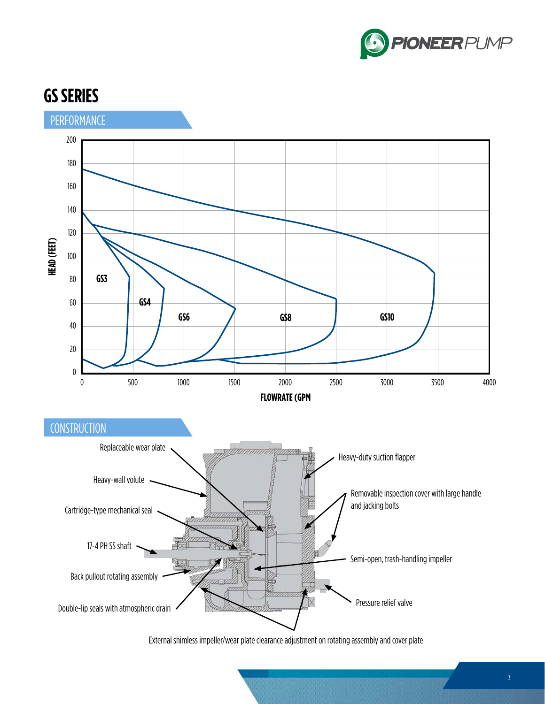



External shimless impeller/wear plate clearance adjustment on rotating assembly and cover plate